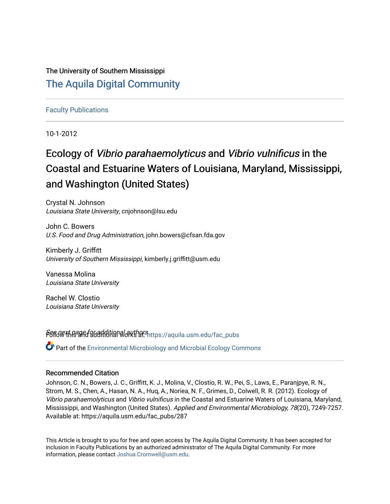The University of Southern Mississippi [The Aquila Digital Community](https://aquila.usm.edu/)

[Faculty Publications](https://aquila.usm.edu/fac_pubs)

10-1-2012

# Ecology of Vibrio parahaemolyticus and Vibrio vulnificus in the Coastal and Estuarine Waters of Louisiana, Maryland, Mississippi, and Washington (United States)

Crystal N. Johnson Louisiana State University, cnjohnson@lsu.edu

John C. Bowers U.S. Food and Drug Administration, john.bowers@cfsan.fda.gov

Kimberly J. Griffitt University of Southern Mississippi, kimberly.j.griffitt@usm.edu

Vanessa Molina Louisiana State University

Rachel W. Clostio Louisiana State University

Sere Next page for additional authors intros://aquila.usm.edu/fac\_pubs

 $\bullet$  Part of the Environmental Microbiology and Microbial Ecology Commons

### Recommended Citation

Johnson, C. N., Bowers, J. C., Griffitt, K. J., Molina, V., Clostio, R. W., Pei, S., Laws, E., Paranjpye, R. N., Strom, M. S., Chen, A., Hasan, N. A., Huq, A., Noriea, N. F., Grimes, D., Colwell, R. R. (2012). Ecology of Vibrio parahaemolyticus and Vibrio vulnificus in the Coastal and Estuarine Waters of Louisiana, Maryland, Mississippi, and Washington (United States). Applied and Environmental Microbiology, 78(20), 7249-7257. Available at: https://aquila.usm.edu/fac\_pubs/287

This Article is brought to you for free and open access by The Aquila Digital Community. It has been accepted for inclusion in Faculty Publications by an authorized administrator of The Aquila Digital Community. For more information, please contact [Joshua.Cromwell@usm.edu.](mailto:Joshua.Cromwell@usm.edu)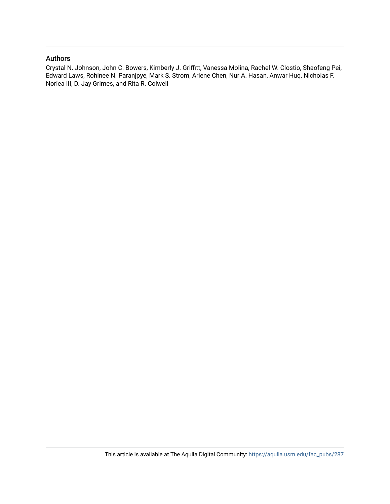# Authors

Crystal N. Johnson, John C. Bowers, Kimberly J. Griffitt, Vanessa Molina, Rachel W. Clostio, Shaofeng Pei, Edward Laws, Rohinee N. Paranjpye, Mark S. Strom, Arlene Chen, Nur A. Hasan, Anwar Huq, Nicholas F. Noriea III, D. Jay Grimes, and Rita R. Colwell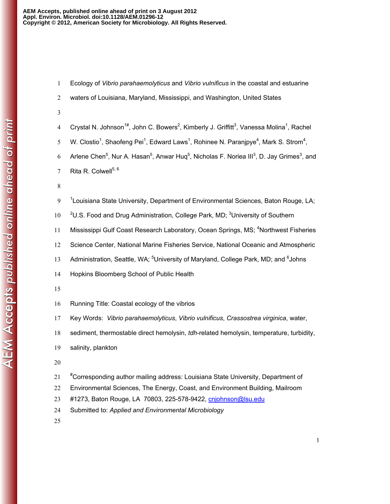- 1 Ecology of *Vibrio parahaemolyticus* and *Vibrio vulnificus* in the coastal and estuarine
- 2 waters of Louisiana, Maryland, Mississippi, and Washington, United States
- 3
- 4 Crystal N. Johnson<sup>1#</sup>, John C. Bowers<sup>2</sup>, Kimberly J. Griffitt<sup>3</sup>, Vanessa Molina<sup>1</sup>, Rachel
- 5 W. Clostio<sup>1</sup>, Shaofeng Pei<sup>1</sup>, Edward Laws<sup>1</sup>, Rohinee N. Paranjpye<sup>4</sup>, Mark S. Strom<sup>4</sup>,
- 6 Arlene Chen<sup>5</sup>, Nur A. Hasan<sup>5</sup>, Anwar Huq<sup>5</sup>, Nicholas F. Noriea III<sup>3</sup>, D. Jay Grimes<sup>3</sup>, and
- 7 Rita R. Colwell $^{5,6}$
- 8
- $19<sup>-1</sup>$ Louisiana State University, Department of Environmental Sciences, Baton Rouge, LA;
- 10 <sup>2</sup>U.S. Food and Drug Administration, College Park, MD; <sup>3</sup>University of Southern
- 11 Mississippi Gulf Coast Research Laboratory, Ocean Springs, MS; <sup>4</sup>Northwest Fisheries
- 12 Science Center, National Marine Fisheries Service, National Oceanic and Atmospheric
- 13 Administration, Seattle, WA; <sup>5</sup>University of Maryland, College Park, MD; and <sup>6</sup>Johns
- 14 Hopkins Bloomberg School of Public Health
- 15
- 16 Running Title: Coastal ecology of the vibrios
- 17 Key Words: *Vibrio parahaemolyticus*, *Vibrio vulnificus*, *Crassostrea virginica*, water,
- 18 sediment, thermostable direct hemolysin, *tdh*-related hemolysin, temperature, turbidity,
- 19 salinity, plankton
- 20
- 21 # Corresponding author mailing address: Louisiana State University, Department of
- 22 Environmental Sciences, The Energy, Coast, and Environment Building, Mailroom
- 23 #1273, Baton Rouge, LA 70803, 225-578-9422, cnjohnson@lsu.edu
- 24 Submitted to: *Applied and Environmental Microbiology*
- 25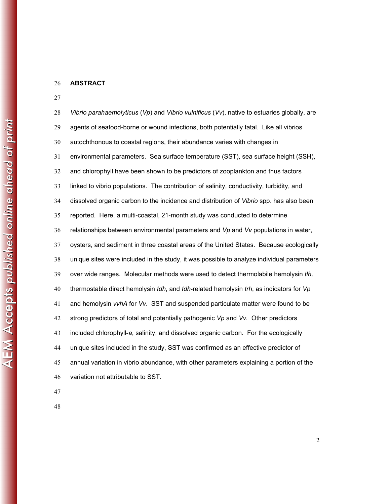#### **ABSTRACT**

*Vibrio parahaemolyticus* (*Vp*) and *Vibrio vulnificus* (*Vv*), native to estuaries globally, are agents of seafood-borne or wound infections, both potentially fatal. Like all vibrios autochthonous to coastal regions, their abundance varies with changes in environmental parameters. Sea surface temperature (SST), sea surface height (SSH), and chlorophyll have been shown to be predictors of zooplankton and thus factors linked to vibrio populations. The contribution of salinity, conductivity, turbidity, and dissolved organic carbon to the incidence and distribution of *Vibrio* spp. has also been reported. Here, a multi-coastal, 21-month study was conducted to determine relationships between environmental parameters and *Vp* and *Vv* populations in water, oysters, and sediment in three coastal areas of the United States. Because ecologically unique sites were included in the study, it was possible to analyze individual parameters over wide ranges. Molecular methods were used to detect thermolabile hemolysin *tlh,*  thermostable direct hemolysin *tdh*, and *tdh*-related hemolysin *trh*, as indicators for *Vp* and hemolysin *vvhA* for *Vv*. SST and suspended particulate matter were found to be strong predictors of total and potentially pathogenic *Vp* and *Vv.* Other predictors included chlorophyll-*a*, salinity, and dissolved organic carbon. For the ecologically unique sites included in the study, SST was confirmed as an effective predictor of annual variation in vibrio abundance, with other parameters explaining a portion of the variation not attributable to SST.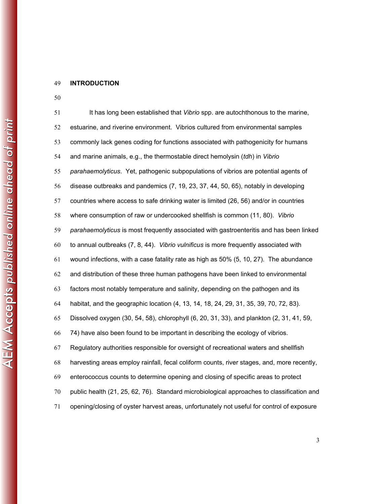#### **INTRODUCTION**

It has long been established that *Vibrio* spp. are autochthonous to the marine, estuarine, and riverine environment. Vibrios cultured from environmental samples commonly lack genes coding for functions associated with pathogenicity for humans and marine animals, e.g., the thermostable direct hemolysin (*tdh*) in *Vibrio parahaemolyticus*. Yet, pathogenic subpopulations of vibrios are potential agents of disease outbreaks and pandemics (7, 19, 23, 37, 44, 50, 65), notably in developing countries where access to safe drinking water is limited (26, 56) and/or in countries where consumption of raw or undercooked shellfish is common (11, 80). *Vibrio parahaemolyticus* is most frequently associated with gastroenteritis and has been linked to annual outbreaks (7, 8, 44). *Vibrio vulnificus* is more frequently associated with wound infections, with a case fatality rate as high as 50% (5, 10, 27). The abundance and distribution of these three human pathogens have been linked to environmental factors most notably temperature and salinity, depending on the pathogen and its habitat, and the geographic location (4, 13, 14, 18, 24, 29, 31, 35, 39, 70, 72, 83). Dissolved oxygen (30, 54, 58), chlorophyll (6, 20, 31, 33), and plankton (2, 31, 41, 59, 74) have also been found to be important in describing the ecology of vibrios. Regulatory authorities responsible for oversight of recreational waters and shellfish harvesting areas employ rainfall, fecal coliform counts, river stages, and, more recently, enterococcus counts to determine opening and closing of specific areas to protect public health (21, 25, 62, 76). Standard microbiological approaches to classification and opening/closing of oyster harvest areas, unfortunately not useful for control of exposure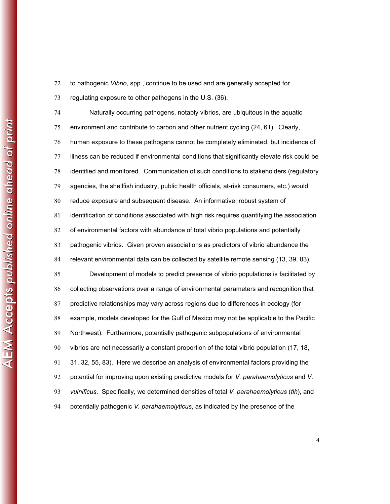to pathogenic *Vibrio*, spp., continue to be used and are generally accepted for

regulating exposure to other pathogens in the U.S. (36).

Naturally occurring pathogens, notably vibrios, are ubiquitous in the aquatic environment and contribute to carbon and other nutrient cycling (24, 61). Clearly, human exposure to these pathogens cannot be completely eliminated, but incidence of illness can be reduced if environmental conditions that significantly elevate risk could be identified and monitored. Communication of such conditions to stakeholders (regulatory agencies, the shellfish industry, public health officials, at-risk consumers, etc.) would reduce exposure and subsequent disease. An informative, robust system of identification of conditions associated with high risk requires quantifying the association of environmental factors with abundance of total vibrio populations and potentially pathogenic vibrios. Given proven associations as predictors of vibrio abundance the relevant environmental data can be collected by satellite remote sensing (13, 39, 83). Development of models to predict presence of vibrio populations is facilitated by collecting observations over a range of environmental parameters and recognition that predictive relationships may vary across regions due to differences in ecology (for example, models developed for the Gulf of Mexico may not be applicable to the Pacific Northwest). Furthermore, potentially pathogenic subpopulations of environmental vibrios are not necessarily a constant proportion of the total vibrio population (17, 18, 31, 32, 55, 83). Here we describe an analysis of environmental factors providing the potential for improving upon existing predictive models for *V. parahaemolyticus* and *V. vulnificus*. Specifically, we determined densities of total *V. parahaemolyticus* (*tlh*), and potentially pathogenic *V. parahaemolyticus*, as indicated by the presence of the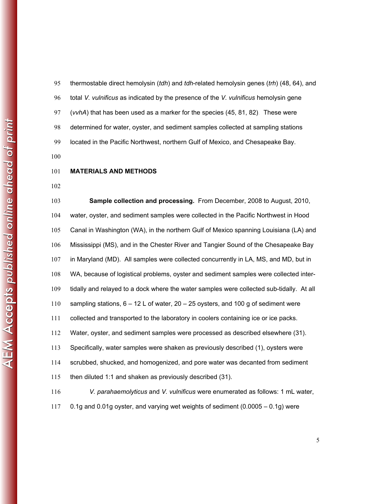thermostable direct hemolysin (*tdh*) and *tdh*-related hemolysin genes (*trh*) (48, 64), and total *V. vulnificus* as indicated by the presence of the *V. vulnificus* hemolysin gene (*vvhA*) that has been used as a marker for the species (45, 81, 82). These were determined for water, oyster, and sediment samples collected at sampling stations located in the Pacific Northwest, northern Gulf of Mexico, and Chesapeake Bay.

## **MATERIALS AND METHODS**

**Sample collection and processing.** From December, 2008 to August, 2010, water, oyster, and sediment samples were collected in the Pacific Northwest in Hood Canal in Washington (WA), in the northern Gulf of Mexico spanning Louisiana (LA) and Mississippi (MS), and in the Chester River and Tangier Sound of the Chesapeake Bay in Maryland (MD). All samples were collected concurrently in LA, MS, and MD, but in WA, because of logistical problems, oyster and sediment samples were collected inter-tidally and relayed to a dock where the water samples were collected sub-tidally. At all sampling stations, 6 – 12 L of water, 20 – 25 oysters, and 100 g of sediment were collected and transported to the laboratory in coolers containing ice or ice packs. Water, oyster, and sediment samples were processed as described elsewhere (31). Specifically, water samples were shaken as previously described (1), oysters were scrubbed, shucked, and homogenized, and pore water was decanted from sediment then diluted 1:1 and shaken as previously described (31). *V. parahaemolyticus* and *V. vulnificus* were enumerated as follows: 1 mL water, 0.1g and 0.01g oyster, and varying wet weights of sediment (0.0005 – 0.1g) were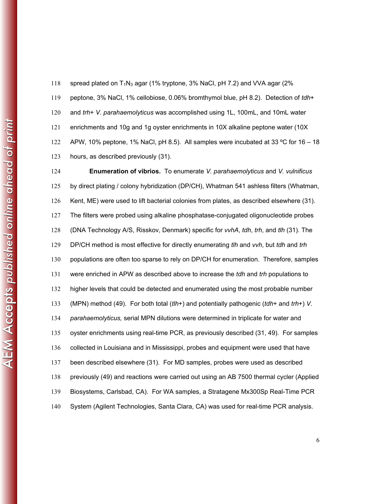peptone, 3% NaCl, 1% cellobiose, 0.06% bromthymol blue, pH 8.2). Detection of *tdh*+ and *trh*+ *V. parahaemolyticus* was accomplished using 1L, 100mL, and 10mL water enrichments and 10g and 1g oyster enrichments in 10X alkaline peptone water (10X 122 APW, 10% peptone, 1% NaCl, pH 8.5). All samples were incubated at 33 °C for 16 – 18 hours, as described previously (31).

118 spread plated on  $T_1N_3$  agar (1% tryptone, 3% NaCl, pH 7.2) and VVA agar (2%

**Enumeration of vibrios.** To enumerate *V. parahaemolyticus* and *V. vulnificus*  by direct plating / colony hybridization (DP/CH), Whatman 541 ashless filters (Whatman, Kent, ME) were used to lift bacterial colonies from plates, as described elsewhere (31). The filters were probed using alkaline phosphatase-conjugated oligonucleotide probes (DNA Technology A/S, Risskov, Denmark) specific for *vvhA*, *tdh*, *trh*, and *tlh* (31)*.* The DP/CH method is most effective for directly enumerating *tlh* and *vvh*, but *tdh* and *trh* 130 populations are often too sparse to rely on DP/CH for enumeration. Therefore, samples were enriched in APW as described above to increase the *tdh* and *trh* populations to higher levels that could be detected and enumerated using the most probable number (MPN) method (49). For both total (*tlh*+) and potentially pathogenic (*tdh*+ and *trh*+) *V. parahaemolyticus,* serial MPN dilutions were determined in triplicate for water and oyster enrichments using real-time PCR, as previously described (31, 49). For samples collected in Louisiana and in Mississippi, probes and equipment were used that have been described elsewhere (31). For MD samples, probes were used as described previously (49) and reactions were carried out using an AB 7500 thermal cycler (Applied Biosystems, Carlsbad, CA). For WA samples, a Stratagene Mx300Sp Real-Time PCR System (Agilent Technologies, Santa Clara, CA) was used for real-time PCR analysis.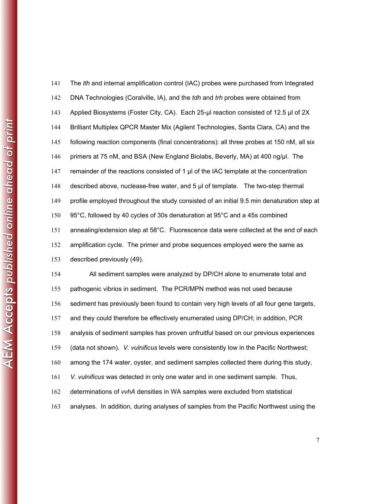|             | 141 | The <i>tin</i> an  |
|-------------|-----|--------------------|
|             | 142 | <b>DNA Tech</b>    |
|             | 143 | <b>Applied B</b>   |
|             | 144 | <b>Brilliant M</b> |
|             | 145 | following          |
| LIOT.       | 146 | primers at         |
|             | 147 | remainder          |
| ne cineoio! | 148 | described          |
|             | 149 | profile em         |
|             | 150 | 95°C, follo        |
|             | 151 | annealing          |
|             | 152 | amplificati        |
|             | 153 | described          |
|             | 154 | All                |
|             | 155 | pathogeni          |
|             | 156 | sediment           |
|             | 157 | and they           |
|             | 158 | analysis c         |
|             | 159 | (data not          |
|             | 160 | among the          |
|             | 161 | V. vulnific        |

| 141 | The tlh and internal amplification control (IAC) probes were purchased from Integrated         |
|-----|------------------------------------------------------------------------------------------------|
| 142 | DNA Technologies (Coralville, IA), and the <i>tdh</i> and <i>trh</i> probes were obtained from |
| 143 | Applied Biosystems (Foster City, CA). Each 25-µl reaction consisted of 12.5 µl of 2X           |
| 144 | Brilliant Multiplex QPCR Master Mix (Agilent Technologies, Santa Clara, CA) and the            |
| 145 | following reaction components (final concentrations): all three probes at 150 nM, all six      |
| 146 | primers at 75 nM, and BSA (New England Biolabs, Beverly, MA) at 400 ng/µl. The                 |
| 147 | remainder of the reactions consisted of 1 µl of the IAC template at the concentration          |
| 148 | described above, nuclease-free water, and 5 µl of template. The two-step thermal               |
| 149 | profile employed throughout the study consisted of an initial 9.5 min denaturation step at     |
| 150 | 95°C, followed by 40 cycles of 30s denaturation at 95°C and a 45s combined                     |
| 151 | annealing/extension step at 58°C. Fluorescence data were collected at the end of each          |
| 152 | amplification cycle. The primer and probe sequences employed were the same as                  |
| 153 | described previously (49).                                                                     |
| 154 | All sediment samples were analyzed by DP/CH alone to enumerate total and                       |
| 155 | pathogenic vibrios in sediment. The PCR/MPN method was not used because                        |
| 156 | sediment has previously been found to contain very high levels of all four gene targets,       |

could therefore be effectively enumerated using DP/CH; in addition, PCR

of sediment samples has proven unfruitful based on our previous experiences

shown). *V. vulnificus* levels were consistently low in the Pacific Northwest;

e 174 water, oyster, and sediment samples collected there during this study,

**us was detected in only one water and in one sediment sample. Thus,** 

determinations of *vvhA* densities in WA samples were excluded from statistical

analyses. In addition, during analyses of samples from the Pacific Northwest using the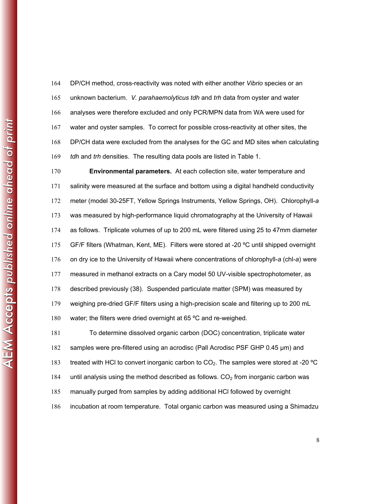DP/CH method, cross-reactivity was noted with either another *Vibrio* species or an unknown bacterium. *V. parahaemolyticus tdh* and *trh* data from oyster and water analyses were therefore excluded and only PCR/MPN data from WA were used for water and oyster samples. To correct for possible cross-reactivity at other sites, the DP/CH data were excluded from the analyses for the GC and MD sites when calculating *tdh* and *trh* densities. The resulting data pools are listed in Table 1.

**Environmental parameters.** At each collection site, water temperature and salinity were measured at the surface and bottom using a digital handheld conductivity meter (model 30-25FT, Yellow Springs Instruments, Yellow Springs, OH). Chlorophyll-*a* was measured by high-performance liquid chromatography at the University of Hawaii as follows. Triplicate volumes of up to 200 mL were filtered using 25 to 47mm diameter GF/F filters (Whatman, Kent, ME). Filters were stored at -20 ºC until shipped overnight on dry ice to the University of Hawaii where concentrations of chlorophyll-*a* (chl-*a*) were measured in methanol extracts on a Cary model 50 UV-visible spectrophotometer, as described previously (38). Suspended particulate matter (SPM) was measured by weighing pre-dried GF/F filters using a high-precision scale and filtering up to 200 mL 180 water; the filters were dried overnight at 65 °C and re-weighed. To determine dissolved organic carbon (DOC) concentration, triplicate water samples were pre-filtered using an acrodisc (Pall Acrodisc PSF GHP 0.45 μm) and treated with HCl to convert inorganic carbon to CO2. The samples were stored at -20 ºC 184 until analysis using the method described as follows.  $CO<sub>2</sub>$  from inorganic carbon was

manually purged from samples by adding additional HCl followed by overnight

incubation at room temperature. Total organic carbon was measured using a Shimadzu

AEM Accepts published online ahead of print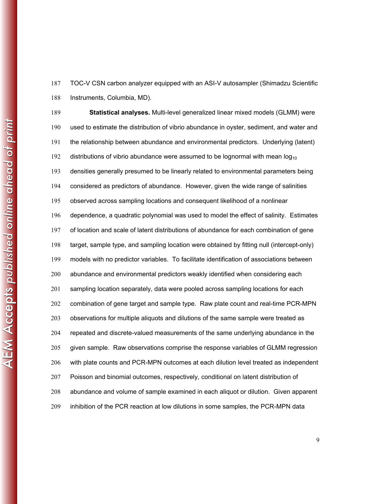TOC-V CSN carbon analyzer equipped with an ASI-V autosampler (Shimadzu Scientific Instruments, Columbia, MD).

**Statistical analyses.** Multi-level generalized linear mixed models (GLMM) were used to estimate the distribution of vibrio abundance in oyster, sediment, and water and the relationship between abundance and environmental predictors. Underlying (latent) 192 distributions of vibrio abundance were assumed to be lognormal with mean  $log_{10}$ densities generally presumed to be linearly related to environmental parameters being considered as predictors of abundance. However, given the wide range of salinities observed across sampling locations and consequent likelihood of a nonlinear dependence, a quadratic polynomial was used to model the effect of salinity. Estimates of location and scale of latent distributions of abundance for each combination of gene target, sample type, and sampling location were obtained by fitting null (intercept-only) models with no predictor variables. To facilitate identification of associations between abundance and environmental predictors weakly identified when considering each sampling location separately, data were pooled across sampling locations for each combination of gene target and sample type. Raw plate count and real-time PCR-MPN observations for multiple aliquots and dilutions of the same sample were treated as repeated and discrete-valued measurements of the same underlying abundance in the given sample. Raw observations comprise the response variables of GLMM regression with plate counts and PCR-MPN outcomes at each dilution level treated as independent Poisson and binomial outcomes, respectively, conditional on latent distribution of abundance and volume of sample examined in each aliquot or dilution. Given apparent inhibition of the PCR reaction at low dilutions in some samples, the PCR-MPN data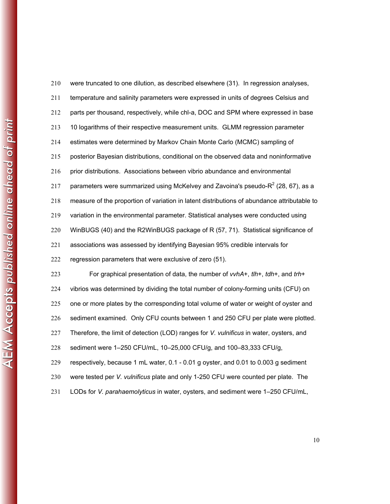|                                                                                                                               | 210 | were truncated to one dilution, as described elsewhere (31). In regression analyses,           |
|-------------------------------------------------------------------------------------------------------------------------------|-----|------------------------------------------------------------------------------------------------|
|                                                                                                                               | 211 | temperature and salinity parameters were expressed in units of degrees Celsius and             |
|                                                                                                                               | 212 | parts per thousand, respectively, while chl-a, DOC and SPM where expressed in bas              |
|                                                                                                                               | 213 | 10 logarithms of their respective measurement units. GLMM regression parameter                 |
|                                                                                                                               | 214 | estimates were determined by Markov Chain Monte Carlo (MCMC) sampling of                       |
|                                                                                                                               | 215 | posterior Bayesian distributions, conditional on the observed data and noninformative          |
| $AE$ $\overline{AB}$ $\overline{AC}$ and $\overline{AB}$ and $\overline{AB}$ and $\overline{BC}$ and $\overline{BC}$ at primi | 216 | prior distributions. Associations between vibrio abundance and environmental                   |
|                                                                                                                               | 217 | parameters were summarized using McKelvey and Zavoina's pseudo- $R^2$ (28, 67), as             |
|                                                                                                                               | 218 | measure of the proportion of variation in latent distributions of abundance attributable       |
|                                                                                                                               | 219 | variation in the environmental parameter. Statistical analyses were conducted using            |
|                                                                                                                               | 220 | WinBUGS (40) and the R2WinBUGS package of R (57, 71). Statistical significance of              |
|                                                                                                                               | 221 | associations was assessed by identifying Bayesian 95% credible intervals for                   |
|                                                                                                                               | 222 | regression parameters that were exclusive of zero (51).                                        |
|                                                                                                                               | 223 | For graphical presentation of data, the number of vvhA+, tlh+, tdh+, and trh+                  |
|                                                                                                                               | 224 | vibrios was determined by dividing the total number of colony-forming units (CFU) on           |
|                                                                                                                               | 225 | one or more plates by the corresponding total volume of water or weight of oyster and          |
|                                                                                                                               | 226 | sediment examined. Only CFU counts between 1 and 250 CFU per plate were plotte                 |
|                                                                                                                               | 227 | Therefore, the limit of detection (LOD) ranges for <i>V. vulnificus</i> in water, oysters, and |
|                                                                                                                               | 228 | sediment were 1-250 CFU/mL, 10-25,000 CFU/g, and 100-83,333 CFU/g,                             |
|                                                                                                                               | 229 | respectively, because 1 mL water, 0.1 - 0.01 g oyster, and 0.01 to 0.003 g sediment            |
|                                                                                                                               | 230 | were tested per V. vulnificus plate and only 1-250 CFU were counted per plate. The             |
|                                                                                                                               |     |                                                                                                |

| 211 | temperature and salinity parameters were expressed in units of degrees Celsius and           |
|-----|----------------------------------------------------------------------------------------------|
| 212 | parts per thousand, respectively, while chl-a, DOC and SPM where expressed in base           |
| 213 | 10 logarithms of their respective measurement units. GLMM regression parameter               |
| 214 | estimates were determined by Markov Chain Monte Carlo (MCMC) sampling of                     |
| 215 | posterior Bayesian distributions, conditional on the observed data and noninformative        |
| 216 | prior distributions. Associations between vibrio abundance and environmental                 |
| 217 | parameters were summarized using McKelvey and Zavoina's pseudo-R <sup>2</sup> (28, 67), as a |
| 218 | measure of the proportion of variation in latent distributions of abundance attributable to  |
| 219 | variation in the environmental parameter. Statistical analyses were conducted using          |
| 220 | WinBUGS (40) and the R2WinBUGS package of R (57, 71). Statistical significance of            |
| 221 | associations was assessed by identifying Bayesian 95% credible intervals for                 |
| 222 | regression parameters that were exclusive of zero (51).                                      |
| 223 | For graphical presentation of data, the number of vvhA+, tlh+, tdh+, and trh+                |
| 224 | vibrios was determined by dividing the total number of colony-forming units (CFU) on         |

1 mL water,  $0.1 - 0.01$  g oyster, and 0.01 to 0.003 g sediment nificus plate and only 1-250 CFU were counted per plate. The LODs for *V. parahaemolyticus* in water, oysters, and sediment were 1–250 CFU/mL,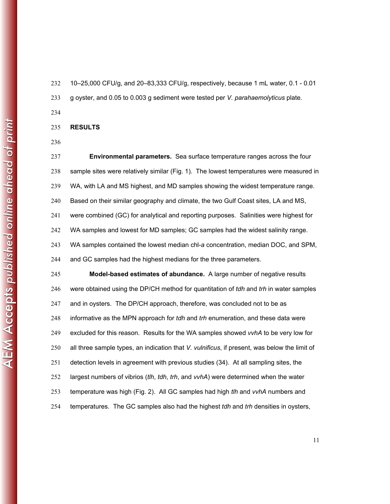10–25,000 CFU/g, and 20–83,333 CFU/g, respectively, because 1 mL water, 0.1 - 0.01 g oyster, and 0.05 to 0.003 g sediment were tested per *V. parahaemolyticus* plate.

- **RESULTS**
- 

**Environmental parameters.** Sea surface temperature ranges across the four sample sites were relatively similar (Fig. 1). The lowest temperatures were measured in WA, with LA and MS highest, and MD samples showing the widest temperature range. Based on their similar geography and climate, the two Gulf Coast sites, LA and MS, were combined (GC) for analytical and reporting purposes. Salinities were highest for WA samples and lowest for MD samples; GC samples had the widest salinity range. WA samples contained the lowest median chl-*a* concentration, median DOC, and SPM, and GC samples had the highest medians for the three parameters. **Model-based estimates of abundance.** A large number of negative results were obtained using the DP/CH method for quantitation of *tdh* and *trh* in water samples and in oysters. The DP/CH approach, therefore, was concluded not to be as informative as the MPN approach for *tdh* and *trh* enumeration, and these data were excluded for this reason. Results for the WA samples showed *vvhA* to be very low for all three sample types, an indication that *V. vulnificus*, if present, was below the limit of detection levels in agreement with previous studies (34). At all sampling sites, the

largest numbers of vibrios (*tlh*, *tdh*, *trh*, and *vvhA*) were determined when the water temperature was high (Fig. 2). All GC samples had high *tlh* and *vvhA* numbers and

temperatures. The GC samples also had the highest *tdh* and *trh* densities in oysters,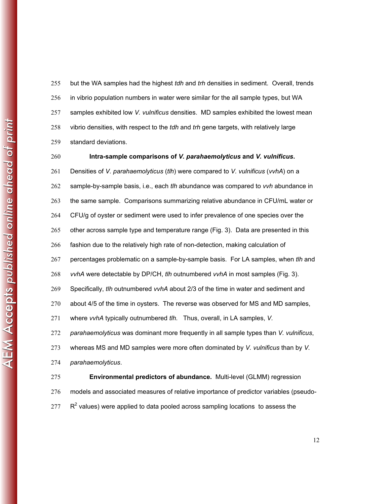but the WA samples had the highest *tdh* and *trh* densities in sediment. Overall, trends in vibrio population numbers in water were similar for the all sample types, but WA samples exhibited low *V. vulnificus* densities. MD samples exhibited the lowest mean vibrio densities, with respect to the *tdh* and *trh* gene targets, with relatively large standard deviations.

**Intra-sample comparisons of** *V. parahaemolyticus* **and** *V. vulnificus***.**  Densities of *V. parahaemolyticus* (*tlh*) were compared to *V. vulnificus* (*vvhA*) on a sample-by-sample basis, i.e., each *tlh* abundance was compared to *vvh* abundance in the same sample. Comparisons summarizing relative abundance in CFU/mL water or CFU/g of oyster or sediment were used to infer prevalence of one species over the other across sample type and temperature range (Fig. 3). Data are presented in this fashion due to the relatively high rate of non-detection, making calculation of percentages problematic on a sample-by-sample basis. For LA samples, when *tlh* and *vvhA* were detectable by DP/CH, *tlh* outnumbered *vvhA* in most samples (Fig. 3). Specifically, *tlh* outnumbered *vvhA* about 2/3 of the time in water and sediment and about 4/5 of the time in oysters. The reverse was observed for MS and MD samples, where *vvhA* typically outnumbered *tlh.* Thus, overall, in LA samples, *V. parahaemolyticus* was dominant more frequently in all sample types than *V. vulnificus*, whereas MS and MD samples were more often dominated by *V. vulnificus* than by *V. parahaemolyticus*. **Environmental predictors of abundance.** Multi-level (GLMM) regression models and associated measures of relative importance of predictor variables (pseudo-

 $\mathbb{R}^2$  values) were applied to data pooled across sampling locations to assess the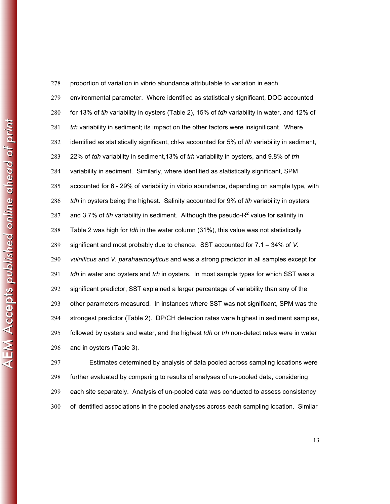278 proportion of variation in vibrio abundance attributable to variation in each environmental parameter. Where identified as statistically significant, DOC accounted for 13% of *tlh* variability in oysters (Table 2), 15% of *tdh* variability in water, and 12% of *trh* variability in sediment; its impact on the other factors were insignificant. Where identified as statistically significant, chl-*a* accounted for 5% of *tlh* variability in sediment, 22% of *tdh* variability in sediment,13% of *trh* variability in oysters, and 9.8% of *trh* variability in sediment. Similarly, where identified as statistically significant, SPM accounted for 6 - 29% of variability in vibrio abundance, depending on sample type, with *tdh* in oysters being the highest. Salinity accounted for 9% of *tlh* variability in oysters 287 and 3.7% of *tlh* variability in sediment. Although the pseudo-R<sup>2</sup> value for salinity in Table 2 was high for *tdh* in the water column (31%), this value was not statistically significant and most probably due to chance. SST accounted for 7.1 – 34% of *V. vulnificus* and *V. parahaemolyticus* and was a strong predictor in all samples except for *tdh* in water and oysters and *trh* in oysters. In most sample types for which SST was a significant predictor, SST explained a larger percentage of variability than any of the other parameters measured. In instances where SST was not significant, SPM was the strongest predictor (Table 2). DP/CH detection rates were highest in sediment samples, followed by oysters and water, and the highest *tdh* or *trh* non-detect rates were in water and in oysters (Table 3).

Estimates determined by analysis of data pooled across sampling locations were further evaluated by comparing to results of analyses of un-pooled data, considering each site separately. Analysis of un-pooled data was conducted to assess consistency of identified associations in the pooled analyses across each sampling location. Similar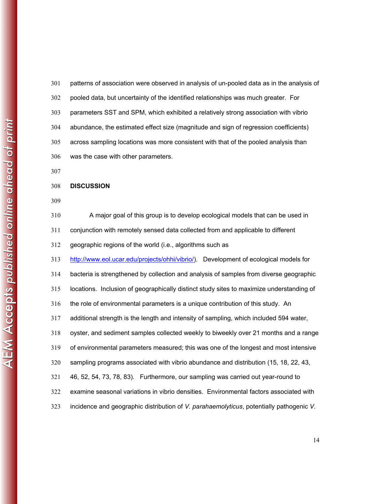patterns of association were observed in analysis of un-pooled data as in the analysis of pooled data, but uncertainty of the identified relationships was much greater. For parameters SST and SPM, which exhibited a relatively strong association with vibrio abundance, the estimated effect size (magnitude and sign of regression coefficients) across sampling locations was more consistent with that of the pooled analysis than was the case with other parameters.

#### **DISCUSSION**

A major goal of this group is to develop ecological models that can be used in conjunction with remotely sensed data collected from and applicable to different geographic regions of the world (i.e., algorithms such as http://www.eol.ucar.edu/projects/ohhi/vibrio/). Development of ecological models for bacteria is strengthened by collection and analysis of samples from diverse geographic locations. Inclusion of geographically distinct study sites to maximize understanding of the role of environmental parameters is a unique contribution of this study. An additional strength is the length and intensity of sampling, which included 594 water, oyster, and sediment samples collected weekly to biweekly over 21 months and a range of environmental parameters measured; this was one of the longest and most intensive sampling programs associated with vibrio abundance and distribution (15, 18, 22, 43, 46, 52, 54, 73, 78, 83). Furthermore, our sampling was carried out year-round to examine seasonal variations in vibrio densities. Environmental factors associated with incidence and geographic distribution of *V. parahaemolyticus*, potentially pathogenic *V.*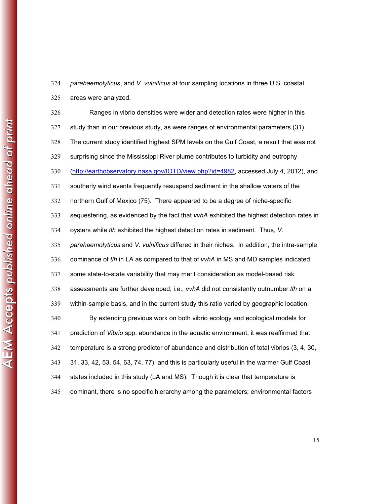areas were analyzed. Ranges in vibrio densities were wider and detection rates were higher in this study than in our previous study, as were ranges of environmental parameters (31). The current study identified highest SPM levels on the Gulf Coast, a result that was not surprising since the Mississippi River plume contributes to turbidity and eutrophy (http://earthobservatory.nasa.gov/IOTD/view.php?id=4982, accessed July 4, 2012), and southerly wind events frequently resuspend sediment in the shallow waters of the northern Gulf of Mexico (75). There appeared to be a degree of niche-specific sequestering, as evidenced by the fact that *vvhA* exhibited the highest detection rates in oysters while *tlh* exhibited the highest detection rates in sediment. Thus, *V. parahaemolyticus* and *V. vulnificus* differed in their niches. In addition, the intra-sample dominance of *tlh* in LA as compared to that of *vvhA* in MS and MD samples indicated some state-to-state variability that may merit consideration as model-based risk assessments are further developed; i.e., *vvhA* did not consistently outnumber *tlh* on a within-sample basis, and in the current study this ratio varied by geographic location. By extending previous work on both vibrio ecology and ecological models for prediction of *Vibrio* spp. abundance in the aquatic environment, it was reaffirmed that temperature is a strong predictor of abundance and distribution of total vibrios (3, 4, 30, 31, 33, 42, 53, 54, 63, 74, 77), and this is particularly useful in the warmer Gulf Coast states included in this study (LA and MS). Though it is clear that temperature is dominant, there is no specific hierarchy among the parameters; environmental factors

*parahaemolyticus*, and *V. vulnificus* at four sampling locations in three U.S. coastal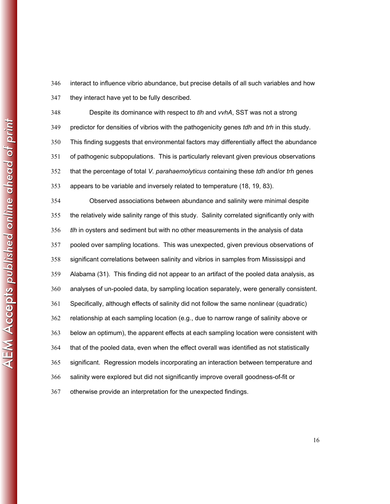interact to influence vibrio abundance, but precise details of all such variables and how they interact have yet to be fully described.

Despite its dominance with respect to *tlh* and *vvhA*, SST was not a strong predictor for densities of vibrios with the pathogenicity genes *tdh* and *trh* in this study. This finding suggests that environmental factors may differentially affect the abundance of pathogenic subpopulations. This is particularly relevant given previous observations that the percentage of total *V. parahaemolyticus* containing these *tdh* and/or *trh* genes appears to be variable and inversely related to temperature (18, 19, 83).

Observed associations between abundance and salinity were minimal despite the relatively wide salinity range of this study. Salinity correlated significantly only with *tlh* in oysters and sediment but with no other measurements in the analysis of data pooled over sampling locations. This was unexpected, given previous observations of significant correlations between salinity and vibrios in samples from Mississippi and Alabama (31). This finding did not appear to an artifact of the pooled data analysis, as analyses of un-pooled data, by sampling location separately, were generally consistent. Specifically, although effects of salinity did not follow the same nonlinear (quadratic) relationship at each sampling location (e.g., due to narrow range of salinity above or below an optimum), the apparent effects at each sampling location were consistent with that of the pooled data, even when the effect overall was identified as not statistically significant. Regression models incorporating an interaction between temperature and salinity were explored but did not significantly improve overall goodness-of-fit or otherwise provide an interpretation for the unexpected findings.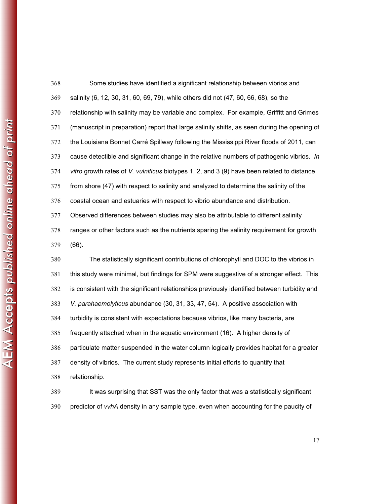| 368 | Some studies have identified a significant relationship between vibrios and                  |
|-----|----------------------------------------------------------------------------------------------|
| 369 | salinity (6, 12, 30, 31, 60, 69, 79), while others did not (47, 60, 66, 68), so the          |
| 370 | relationship with salinity may be variable and complex. For example, Griffitt and Grimes     |
| 371 | (manuscript in preparation) report that large salinity shifts, as seen during the opening of |
| 372 | the Louisiana Bonnet Carré Spillway following the Mississippi River floods of 2011, can      |
| 373 | cause detectible and significant change in the relative numbers of pathogenic vibrios. In    |
| 374 | vitro growth rates of V. vulnificus biotypes 1, 2, and 3 (9) have been related to distance   |
| 375 | from shore (47) with respect to salinity and analyzed to determine the salinity of the       |
| 376 | coastal ocean and estuaries with respect to vibrio abundance and distribution.               |
| 377 | Observed differences between studies may also be attributable to different salinity          |
| 378 | ranges or other factors such as the nutrients sparing the salinity requirement for growth    |
| 379 | $(66)$ .                                                                                     |
| 380 | The statistically significant contributions of chlorophyll and DOC to the vibrios in         |
| 381 | this study were minimal, but findings for SPM were suggestive of a stronger effect. This     |
| 382 | is consistent with the significant relationships previously identified between turbidity and |
| 383 | V. parahaemolyticus abundance (30, 31, 33, 47, 54). A positive association with              |
| 384 | turbidity is consistent with expectations because vibrios, like many bacteria, are           |
| 385 | frequently attached when in the aquatic environment (16). A higher density of                |
| 386 | particulate matter suspended in the water column logically provides habitat for a greater    |
| 387 | density of vibrios. The current study represents initial efforts to quantify that            |
| 388 | relationship.                                                                                |
| 389 | It was surprising that SST was the only factor that was a statistically significant          |
| 390 | predictor of vvhA density in any sample type, even when accounting for the paucity of        |

AEM Accepts published online ahead of print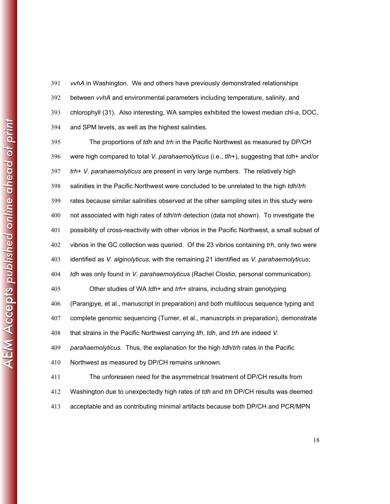*vvhA* in Washington. We and others have previously demonstrated relationships between *vvhA* and environmental parameters including temperature, salinity, and chlorophyll (31). Also interesting, WA samples exhibited the lowest median chl-*a*, DOC, and SPM levels, as well as the highest salinities.

The proportions of *tdh* and *trh* in the Pacific Northwest as measured by DP/CH were high compared to total *V. parahaemolyticus* (i.e., *tlh*+), suggesting that *tdh*+ and/or *trh*+ *V. parahaemolyticus* are present in very large numbers. The relatively high salinities in the Pacific Northwest were concluded to be unrelated to the high *tdh*/*trh* rates because similar salinities observed at the other sampling sites in this study were not associated with high rates of *tdh*/*trh* detection (data not shown). To investigate the possibility of cross-reactivity with other vibrios in the Pacific Northwest, a small subset of vibrios in the GC collection was queried. Of the 23 vibrios containing *trh*, only two were identified as *V. alginolyticus*, with the remaining 21 identified as *V. parahaemolyticus*; *tdh* was only found in *V. parahaemolyticus* (Rachel Clostio, personal communication). Other studies of WA *tdh*+ and *trh*+ strains, including strain genotyping (Paranjpye, et al., manuscript in preparation) and both multilocus sequence typing and complete genomic sequencing (Turner, et al., manuscripts in preparation), demonstrate that strains in the Pacific Northwest carrying *tlh*, *tdh*, and *trh* are indeed *V. parahaemolyticus*. Thus, the explanation for the high *tdh*/*trh* rates in the Pacific Northwest as measured by DP/CH remains unknown. The unforeseen need for the asymmetrical treatment of DP/CH results from Washington due to unexpectedly high rates of *tdh* and *trh* DP/CH results was deemed acceptable and as contributing minimal artifacts because both DP/CH and PCR/MPN

AEM Accepts published online ahead of print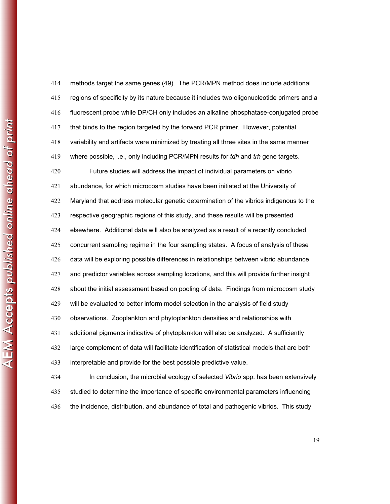| 414 | methods target the same genes (49). The PCR/MPN method does include additional                   |
|-----|--------------------------------------------------------------------------------------------------|
| 415 | regions of specificity by its nature because it includes two oligonucleotide primers and a       |
| 416 | fluorescent probe while DP/CH only includes an alkaline phosphatase-conjugated probe             |
| 417 | that binds to the region targeted by the forward PCR primer. However, potential                  |
| 418 | variability and artifacts were minimized by treating all three sites in the same manner          |
| 419 | where possible, i.e., only including PCR/MPN results for <i>tdh</i> and <i>trh</i> gene targets. |
| 420 | Future studies will address the impact of individual parameters on vibrio                        |
| 421 | abundance, for which microcosm studies have been initiated at the University of                  |
| 422 | Maryland that address molecular genetic determination of the vibrios indigenous to the           |
| 423 | respective geographic regions of this study, and these results will be presented                 |
| 424 | elsewhere. Additional data will also be analyzed as a result of a recently concluded             |
| 425 | concurrent sampling regime in the four sampling states. A focus of analysis of these             |
| 426 | data will be exploring possible differences in relationships between vibrio abundance            |
| 427 | and predictor variables across sampling locations, and this will provide further insight         |
| 428 | about the initial assessment based on pooling of data. Findings from microcosm study             |
| 429 | will be evaluated to better inform model selection in the analysis of field study                |
| 430 | observations. Zooplankton and phytoplankton densities and relationships with                     |
| 431 | additional pigments indicative of phytoplankton will also be analyzed. A sufficiently            |
| 432 | large complement of data will facilitate identification of statistical models that are both      |
| 433 | interpretable and provide for the best possible predictive value.                                |
| 434 | In conclusion, the microbial ecology of selected Vibrio spp. has been extensively                |
| 435 | studied to determine the importance of specific environmental parameters influencing             |
| 436 | the incidence, distribution, and abundance of total and pathogenic vibrios. This study           |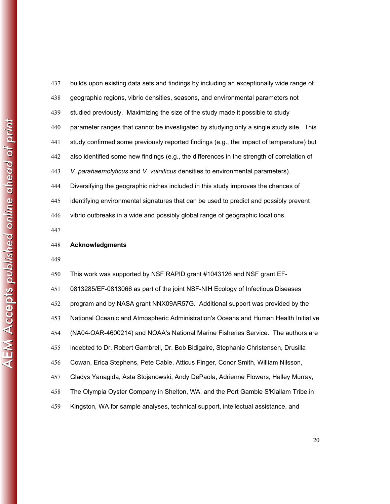$\tt AEM$  Accepts published online ahead of print **Acknowledgments**  

builds upon existing data sets and findings by including an exceptionally wide range of geographic regions, vibrio densities, seasons, and environmental parameters not studied previously. Maximizing the size of the study made it possible to study parameter ranges that cannot be investigated by studying only a single study site. This study confirmed some previously reported findings (e.g., the impact of temperature) but also identified some new findings (e.g., the differences in the strength of correlation of *V. parahaemolyticus* and *V. vulnificus* densities to environmental parameters). Diversifying the geographic niches included in this study improves the chances of identifying environmental signatures that can be used to predict and possibly prevent vibrio outbreaks in a wide and possibly global range of geographic locations.

This work was supported by NSF RAPID grant #1043126 and NSF grant EF-

0813285/EF-0813066 as part of the joint NSF-NIH Ecology of Infectious Diseases

program and by NASA grant NNX09AR57G. Additional support was provided by the

National Oceanic and Atmospheric Administration's Oceans and Human Health Initiative

(NA04-OAR-4600214) and NOAA's National Marine Fisheries Service. The authors are

indebted to Dr. Robert Gambrell, Dr. Bob Bidigaire, Stephanie Christensen, Drusilla

Cowan, Erica Stephens, Pete Cable, Atticus Finger, Conor Smith, William Nilsson,

Gladys Yanagida, Asta Stojanowski, Andy DePaola, Adrienne Flowers, Halley Murray,

The Olympia Oyster Company in Shelton, WA, and the Port Gamble S'Klallam Tribe in

Kingston, WA for sample analyses, technical support, intellectual assistance, and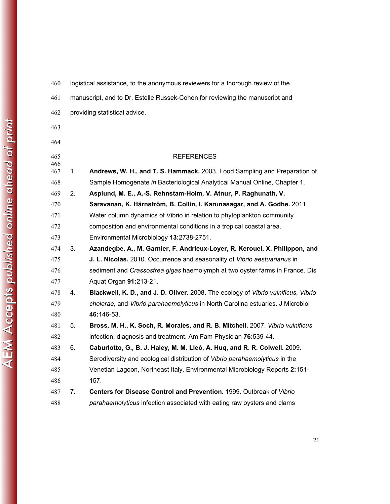| 460        |    | logistical assistance, to the anonymous reviewers for a thorough review of the     |
|------------|----|------------------------------------------------------------------------------------|
| 461        |    | manuscript, and to Dr. Estelle Russek-Cohen for reviewing the manuscript and       |
| 462        |    | providing statistical advice.                                                      |
| 463        |    |                                                                                    |
| 464        |    |                                                                                    |
| 465        |    | <b>REFERENCES</b>                                                                  |
| 466<br>467 | 1. | Andrews, W. H., and T. S. Hammack. 2003. Food Sampling and Preparation of          |
| 468        |    | Sample Homogenate in Bacteriological Analytical Manual Online, Chapter 1.          |
| 469        | 2. | Asplund, M. E., A.-S. Rehnstam-Holm, V. Atnur, P. Raghunath, V.                    |
| 470        |    | Saravanan, K. Härnström, B. Collin, I. Karunasagar, and A. Godhe. 2011.            |
| 471        |    | Water column dynamics of Vibrio in relation to phytoplankton community             |
| 472        |    | composition and environmental conditions in a tropical coastal area.               |
| 473        |    | Environmental Microbiology 13:2738-2751.                                           |
| 474        | 3. | Azandegbe, A., M. Garnier, F. Andrieux-Loyer, R. Kerouel, X. Philippon, and        |
| 475        |    | J. L. Nicolas. 2010. Occurrence and seasonality of Vibrio aestuarianus in          |
| 476        |    | sediment and Crassostrea gigas haemolymph at two oyster farms in France. Dis       |
| 477        |    | Aquat Organ 91:213-21.                                                             |
| 478        | 4. | Blackwell, K. D., and J. D. Oliver. 2008. The ecology of Vibrio vulnificus, Vibrio |
| 479        |    | cholerae, and Vibrio parahaemolyticus in North Carolina estuaries. J Microbiol     |
| 480        |    | 46:146-53.                                                                         |
| 481        | 5. | Bross, M. H., K. Soch, R. Morales, and R. B. Mitchell. 2007. Vibrio vulnificus     |
| 482        |    | infection: diagnosis and treatment. Am Fam Physician 76:539-44.                    |
| 483        | 6. | Caburlotto, G., B. J. Haley, M. M. Lleò, A. Huq, and R. R. Colwell. 2009.          |
| 484        |    | Serodiversity and ecological distribution of Vibrio parahaemolyticus in the        |
| 485        |    | Venetian Lagoon, Northeast Italy. Environmental Microbiology Reports 2:151-        |
| 486        |    | 157.                                                                               |
| 487        | 7. | Centers for Disease Control and Prevention. 1999. Outbreak of Vibrio               |
| 488        |    | parahaemolyticus infection associated with eating raw oysters and clams            |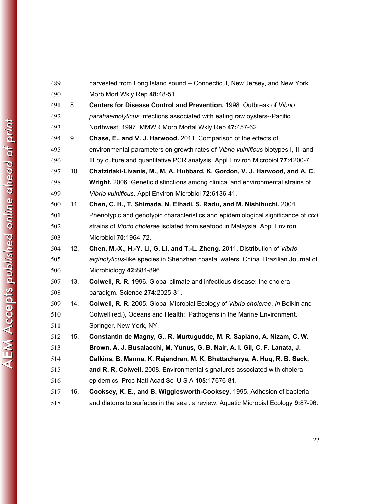| 489 |     | harvested from Long Island sound -- Connecticut, New Jersey, and New York.         |
|-----|-----|------------------------------------------------------------------------------------|
| 490 |     | Morb Mort Wkly Rep 48:48-51.                                                       |
| 491 | 8.  | Centers for Disease Control and Prevention. 1998. Outbreak of Vibrio               |
| 492 |     | parahaemolyticus infections associated with eating raw oysters--Pacific            |
| 493 |     | Northwest, 1997. MMWR Morb Mortal Wkly Rep 47:457-62.                              |
| 494 | 9.  | Chase, E., and V. J. Harwood. 2011. Comparison of the effects of                   |
| 495 |     | environmental parameters on growth rates of Vibrio vulnificus biotypes I, II, and  |
| 496 |     | III by culture and quantitative PCR analysis. Appl Environ Microbiol 77:4200-7.    |
| 497 | 10. | Chatzidaki-Livanis, M., M. A. Hubbard, K. Gordon, V. J. Harwood, and A. C.         |
| 498 |     | Wright. 2006. Genetic distinctions among clinical and environmental strains of     |
| 499 |     | Vibrio vulnificus. Appl Environ Microbiol 72:6136-41.                              |
| 500 | 11. | Chen, C. H., T. Shimada, N. Elhadi, S. Radu, and M. Nishibuchi. 2004.              |
| 501 |     | Phenotypic and genotypic characteristics and epidemiological significance of ctx+  |
| 502 |     | strains of Vibrio cholerae isolated from seafood in Malaysia. Appl Environ         |
| 503 |     | Microbiol 70:1964-72.                                                              |
| 504 | 12. | Chen, M.-X., H.-Y. Li, G. Li, and T.-L. Zheng. 2011. Distribution of Vibrio        |
| 505 |     | alginolyticus-like species in Shenzhen coastal waters, China. Brazilian Journal of |
| 506 |     | Microbiology 42:884-896.                                                           |
| 507 | 13. | Colwell, R. R. 1996. Global climate and infectious disease: the cholera            |
| 508 |     | paradigm. Science 274:2025-31.                                                     |
| 509 | 14. | Colwell, R. R. 2005. Global Microbial Ecology of Vibrio cholerae. In Belkin and    |
| 510 |     | Colwell (ed.), Oceans and Health: Pathogens in the Marine Environment.             |
| 511 |     | Springer, New York, NY.                                                            |
| 512 | 15. | Constantin de Magny, G., R. Murtugudde, M. R. Sapiano, A. Nizam, C. W.             |
| 513 |     | Brown, A. J. Busalacchi, M. Yunus, G. B. Nair, A. I. Gil, C. F. Lanata, J.         |
| 514 |     | Calkins, B. Manna, K. Rajendran, M. K. Bhattacharya, A. Huq, R. B. Sack,           |
| 515 |     | and R. R. Colwell. 2008. Environmental signatures associated with cholera          |
| 516 |     | epidemics. Proc Natl Acad Sci U S A 105:17676-81.                                  |
| 517 | 16. | Cooksey, K. E., and B. Wigglesworth-Cooksey. 1995. Adhesion of bacteria            |
| 518 |     | and diatoms to surfaces in the sea : a review. Aquatic Microbial Ecology 9:87-96.  |

| ĵ<br>J                  |
|-------------------------|
| j                       |
| ו<br>ו<br> <br> <br>    |
| I                       |
| Ì<br>ソート しょうしょう         |
|                         |
| $\frac{1}{2}$           |
|                         |
| $\frac{1}{2}$<br>j<br>ī |
| I                       |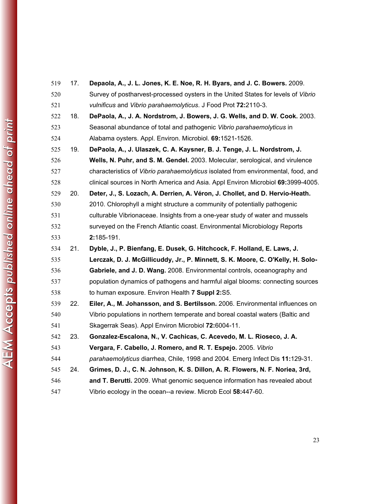| 519 | 17. | Depaola, A., J. L. Jones, K. E. Noe, R. H. Byars, and J. C. Bowers. 2009.         |
|-----|-----|-----------------------------------------------------------------------------------|
| 520 |     | Survey of postharvest-processed oysters in the United States for levels of Vibrio |
| 521 |     | vulnificus and Vibrio parahaemolyticus. J Food Prot 72:2110-3.                    |
| 522 | 18. | DePaola, A., J. A. Nordstrom, J. Bowers, J. G. Wells, and D. W. Cook. 2003.       |
| 523 |     | Seasonal abundance of total and pathogenic Vibrio parahaemolyticus in             |
| 524 |     | Alabama oysters. Appl. Environ. Microbiol. 69:1521-1526.                          |
| 525 | 19. | DePaola, A., J. Ulaszek, C. A. Kaysner, B. J. Tenge, J. L. Nordstrom, J.          |
| 526 |     | Wells, N. Puhr, and S. M. Gendel. 2003. Molecular, serological, and virulence     |
| 527 |     | characteristics of Vibrio parahaemolyticus isolated from environmental, food, and |
| 528 |     | clinical sources in North America and Asia. Appl Environ Microbiol 69:3999-4005.  |
| 529 | 20. | Deter, J., S. Lozach, A. Derrien, A. Véron, J. Chollet, and D. Hervio-Heath.      |
| 530 |     | 2010. Chlorophyll a might structure a community of potentially pathogenic         |
| 531 |     | culturable Vibrionaceae. Insights from a one-year study of water and mussels      |
| 532 |     | surveyed on the French Atlantic coast. Environmental Microbiology Reports         |
| 533 |     | 2:185-191.                                                                        |
| 534 | 21. | Dyble, J., P. Bienfang, E. Dusek, G. Hitchcock, F. Holland, E. Laws, J.           |
| 535 |     | Lerczak, D. J. McGillicuddy, Jr., P. Minnett, S. K. Moore, C. O'Kelly, H. Solo-   |
| 536 |     | Gabriele, and J. D. Wang. 2008. Environmental controls, oceanography and          |
| 537 |     | population dynamics of pathogens and harmful algal blooms: connecting sources     |
| 538 |     | to human exposure. Environ Health 7 Suppl 2:S5.                                   |
| 539 | 22. | Eiler, A., M. Johansson, and S. Bertilsson. 2006. Environmental influences on     |
| 540 |     | Vibrio populations in northern temperate and boreal coastal waters (Baltic and    |
| 541 |     | Skagerrak Seas). Appl Environ Microbiol 72:6004-11.                               |
| 542 | 23. | Gonzalez-Escalona, N., V. Cachicas, C. Acevedo, M. L. Rioseco, J. A.              |
| 543 |     | Vergara, F. Cabello, J. Romero, and R. T. Espejo. 2005. Vibrio                    |
| 544 |     | parahaemolyticus diarrhea, Chile, 1998 and 2004. Emerg Infect Dis 11:129-31.      |
| 545 | 24. | Grimes, D. J., C. N. Johnson, K. S. Dillon, A. R. Flowers, N. F. Noriea, 3rd,     |
| 546 |     | and T. Berutti. 2009. What genomic sequence information has revealed about        |
| 547 |     | Vibrio ecology in the ocean--a review. Microb Ecol 58:447-60.                     |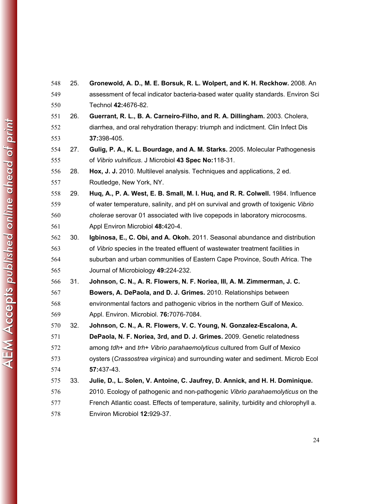25. **Gronewold, A. D., M. E. Borsuk, R. L. Wolpert, and K. H. Reckhow.** 2008. An assessment of fecal indicator bacteria-based water quality standards. Environ Sci Technol **42:**4676-82. 26. **Guerrant, R. L., B. A. Carneiro-Filho, and R. A. Dillingham.** 2003. Cholera, diarrhea, and oral rehydration therapy: triumph and indictment. Clin Infect Dis **37:**398-405. 27. **Gulig, P. A., K. L. Bourdage, and A. M. Starks.** 2005. Molecular Pathogenesis of *Vibrio vulnificus*. J Microbiol **43 Spec No:**118-31. 28. **Hox, J. J.** 2010. Multilevel analysis. Techniques and applications, 2 ed. Routledge, New York, NY. 29. **Huq, A., P. A. West, E. B. Small, M. I. Huq, and R. R. Colwell.** 1984. Influence of water temperature, salinity, and pH on survival and growth of toxigenic *Vibrio cholerae* serovar 01 associated with live copepods in laboratory microcosms. Appl Environ Microbiol **48:**420-4. 30. **Igbinosa, E., C. Obi, and A. Okoh.** 2011. Seasonal abundance and distribution of *Vibrio* species in the treated effluent of wastewater treatment facilities in suburban and urban communities of Eastern Cape Province, South Africa. The Journal of Microbiology **49:**224-232. 31. **Johnson, C. N., A. R. Flowers, N. F. Noriea, III, A. M. Zimmerman, J. C. Bowers, A. DePaola, and D. J. Grimes.** 2010. Relationships between environmental factors and pathogenic vibrios in the northern Gulf of Mexico. Appl. Environ. Microbiol. **76:**7076-7084. 32. **Johnson, C. N., A. R. Flowers, V. C. Young, N. Gonzalez-Escalona, A. DePaola, N. F. Noriea, 3rd, and D. J. Grimes.** 2009. Genetic relatedness among *tdh*+ and *trh*+ *Vibrio parahaemolyticus* cultured from Gulf of Mexico oysters (*Crassostrea virginica*) and surrounding water and sediment. Microb Ecol **57:**437-43. 33. **Julie, D., L. Solen, V. Antoine, C. Jaufrey, D. Annick, and H. H. Dominique.** 2010. Ecology of pathogenic and non-pathogenic *Vibrio parahaemolyticus* on the French Atlantic coast. Effects of temperature, salinity, turbidity and chlorophyll a. Environ Microbiol **12:**929-37.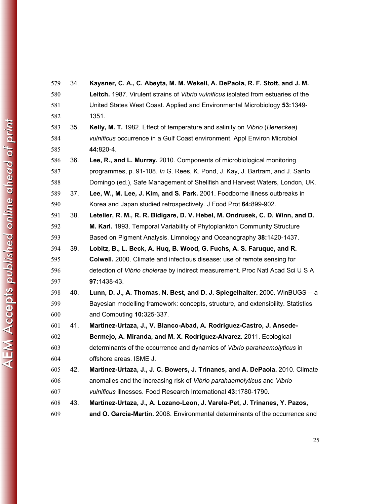| 579 | 34. | Kaysner, C. A., C. Abeyta, M. M. Wekell, A. DePaola, R. F. Stott, and J. M.        |
|-----|-----|------------------------------------------------------------------------------------|
| 580 |     | Leitch. 1987. Virulent strains of Vibrio vulnificus isolated from estuaries of the |
| 581 |     | United States West Coast. Applied and Environmental Microbiology 53:1349-          |
| 582 |     | 1351.                                                                              |
| 583 | 35. | Kelly, M. T. 1982. Effect of temperature and salinity on Vibrio (Beneckea)         |
| 584 |     | vulnificus occurrence in a Gulf Coast environment. Appl Environ Microbiol          |
| 585 |     | 44:820-4.                                                                          |
| 586 | 36. | Lee, R., and L. Murray. 2010. Components of microbiological monitoring             |
| 587 |     | programmes, p. 91-108. In G. Rees, K. Pond, J. Kay, J. Bartram, and J. Santo       |
| 588 |     | Domingo (ed.), Safe Management of Shellfish and Harvest Waters, London, UK.        |
| 589 | 37. | Lee, W., M. Lee, J. Kim, and S. Park. 2001. Foodborne illness outbreaks in         |
| 590 |     | Korea and Japan studied retrospectively. J Food Prot 64:899-902.                   |
| 591 | 38. | Letelier, R. M., R. R. Bidigare, D. V. Hebel, M. Ondrusek, C. D. Winn, and D.      |
| 592 |     | M. Karl. 1993. Temporal Variability of Phytoplankton Community Structure           |
| 593 |     | Based on Pigment Analysis. Limnology and Oceanography 38:1420-1437.                |
| 594 | 39. | Lobitz, B., L. Beck, A. Huq, B. Wood, G. Fuchs, A. S. Faruque, and R.              |
| 595 |     | <b>Colwell.</b> 2000. Climate and infectious disease: use of remote sensing for    |
| 596 |     | detection of Vibrio cholerae by indirect measurement. Proc Natl Acad Sci U S A     |
| 597 |     | 97:1438-43.                                                                        |
| 598 | 40. | Lunn, D. J., A. Thomas, N. Best, and D. J. Spiegelhalter. 2000. WinBUGS -- a       |
| 599 |     | Bayesian modelling framework: concepts, structure, and extensibility. Statistics   |
| 600 |     | and Computing 10:325-337.                                                          |
| 601 | 41. | Martinez-Urtaza, J., V. Blanco-Abad, A. Rodriguez-Castro, J. Ansede-               |
| 602 |     | Bermejo, A. Miranda, and M. X. Rodriguez-Alvarez. 2011. Ecological                 |
| 603 |     | determinants of the occurrence and dynamics of Vibrio parahaemolyticus in          |
| 604 |     | offshore areas. ISME J.                                                            |
| 605 | 42. | Martinez-Urtaza, J., J. C. Bowers, J. Trinanes, and A. DePaola. 2010. Climate      |
| 606 |     | anomalies and the increasing risk of Vibrio parahaemolyticus and Vibrio            |
| 607 |     | vulnificus illnesses. Food Research International 43:1780-1790.                    |
| 608 | 43. | Martinez-Urtaza, J., A. Lozano-Leon, J. Varela-Pet, J. Trinanes, Y. Pazos,         |
| 609 |     | and O. Garcia-Martin. 2008. Environmental determinants of the occurrence and       |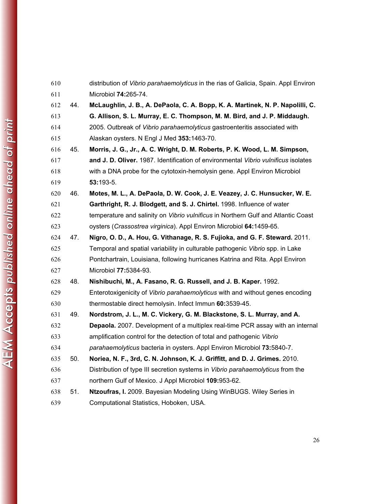| 610 |     | distribution of Vibrio parahaemolyticus in the rias of Galicia, Spain. Appl Environ |
|-----|-----|-------------------------------------------------------------------------------------|
| 611 |     | Microbiol 74:265-74.                                                                |
| 612 | 44. | McLaughlin, J. B., A. DePaola, C. A. Bopp, K. A. Martinek, N. P. Napolilli, C.      |
| 613 |     | G. Allison, S. L. Murray, E. C. Thompson, M. M. Bird, and J. P. Middaugh.           |
| 614 |     | 2005. Outbreak of Vibrio parahaemolyticus gastroenteritis associated with           |
| 615 |     | Alaskan oysters. N Engl J Med 353:1463-70.                                          |
| 616 | 45. | Morris, J. G., Jr., A. C. Wright, D. M. Roberts, P. K. Wood, L. M. Simpson,         |
| 617 |     | and J. D. Oliver. 1987. Identification of environmental Vibrio vulnificus isolates  |
| 618 |     | with a DNA probe for the cytotoxin-hemolysin gene. Appl Environ Microbiol           |
| 619 |     | $53:193-5.$                                                                         |
| 620 | 46. | Motes, M. L., A. DePaola, D. W. Cook, J. E. Veazey, J. C. Hunsucker, W. E.          |
| 621 |     | Garthright, R. J. Blodgett, and S. J. Chirtel. 1998. Influence of water             |
| 622 |     | temperature and salinity on Vibrio vulnificus in Northern Gulf and Atlantic Coast   |
| 623 |     | oysters (Crassostrea virginica). Appl Environ Microbiol 64:1459-65.                 |
| 624 | 47. | Nigro, O. D., A. Hou, G. Vithanage, R. S. Fujioka, and G. F. Steward. 2011.         |
| 625 |     | Temporal and spatial variability in culturable pathogenic Vibrio spp. in Lake       |
| 626 |     | Pontchartrain, Louisiana, following hurricanes Katrina and Rita. Appl Environ       |
| 627 |     | Microbiol 77:5384-93.                                                               |
| 628 | 48. | Nishibuchi, M., A. Fasano, R. G. Russell, and J. B. Kaper. 1992.                    |
| 629 |     | Enterotoxigenicity of Vibrio parahaemolyticus with and without genes encoding       |
| 630 |     | thermostable direct hemolysin. Infect Immun 60:3539-45.                             |
| 631 | 49. | Nordstrom, J. L., M. C. Vickery, G. M. Blackstone, S. L. Murray, and A.             |
| 632 |     | Depaola. 2007. Development of a multiplex real-time PCR assay with an internal      |
| 633 |     | amplification control for the detection of total and pathogenic Vibrio              |
| 634 |     | parahaemolyticus bacteria in oysters. Appl Environ Microbiol 73:5840-7.             |
| 635 | 50. | Noriea, N. F., 3rd, C. N. Johnson, K. J. Griffitt, and D. J. Grimes. 2010.          |
| 636 |     | Distribution of type III secretion systems in Vibrio parahaemolyticus from the      |
| 637 |     | northern Gulf of Mexico. J Appl Microbiol 109:953-62.                               |
| 638 | 51. | Ntzoufras, I. 2009. Bayesian Modeling Using WinBUGS. Wiley Series in                |
| 639 |     | Computational Statistics, Hoboken, USA.                                             |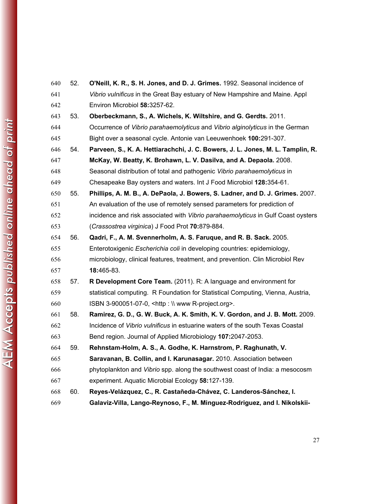| 640 | 52. | O'Neill, K. R., S. H. Jones, and D. J. Grimes. 1992. Seasonal incidence of       |
|-----|-----|----------------------------------------------------------------------------------|
| 641 |     | Vibrio vulnificus in the Great Bay estuary of New Hampshire and Maine. Appl      |
| 642 |     | Environ Microbiol 58:3257-62.                                                    |
| 643 | 53. | Oberbeckmann, S., A. Wichels, K. Wiltshire, and G. Gerdts. 2011.                 |
| 644 |     | Occurrence of Vibrio parahaemolyticus and Vibrio alginolyticus in the German     |
| 645 |     | Bight over a seasonal cycle. Antonie van Leeuwenhoek 100:291-307.                |
| 646 | 54. | Parveen, S., K. A. Hettiarachchi, J. C. Bowers, J. L. Jones, M. L. Tamplin, R.   |
| 647 |     | McKay, W. Beatty, K. Brohawn, L. V. Dasilva, and A. Depaola. 2008.               |
| 648 |     | Seasonal distribution of total and pathogenic Vibrio parahaemolyticus in         |
| 649 |     | Chesapeake Bay oysters and waters. Int J Food Microbiol 128:354-61.              |
| 650 | 55. | Phillips, A. M. B., A. DePaola, J. Bowers, S. Ladner, and D. J. Grimes. 2007.    |
| 651 |     | An evaluation of the use of remotely sensed parameters for prediction of         |
| 652 |     | incidence and risk associated with Vibrio parahaemolyticus in Gulf Coast oysters |
| 653 |     | (Crassostrea virginica) J Food Prot 70:879-884.                                  |
| 654 | 56. | Qadri, F., A. M. Svennerholm, A. S. Faruque, and R. B. Sack. 2005.               |
| 655 |     | Enterotoxigenic Escherichia coli in developing countries: epidemiology,          |
| 656 |     | microbiology, clinical features, treatment, and prevention. Clin Microbiol Rev   |
| 657 |     | 18:465-83.                                                                       |
| 658 | 57. | R Development Core Team. (2011). R: A language and environment for               |
| 659 |     | statistical computing. R Foundation for Statistical Computing, Vienna, Austria,  |
| 660 |     | ISBN 3-900051-07-0, <http: \\="" r-project.org="" www="">.</http:>               |
| 661 | 58. | Ramirez, G. D., G. W. Buck, A. K. Smith, K. V. Gordon, and J. B. Mott. 2009.     |
| 662 |     | Incidence of Vibrio vulnificus in estuarine waters of the south Texas Coastal    |
| 663 |     | Bend region. Journal of Applied Microbiology 107:2047-2053.                      |
| 664 | 59. | Rehnstam-Holm, A. S., A. Godhe, K. Harnstrom, P. Raghunath, V.                   |
| 665 |     | Saravanan, B. Collin, and I. Karunasagar. 2010. Association between              |
| 666 |     | phytoplankton and Vibrio spp. along the southwest coast of India: a mesocosm     |
| 667 |     | experiment. Aquatic Microbial Ecology 58:127-139.                                |
| 668 | 60. | Reyes-Velázquez, C., R. Castañeda-Chávez, C. Landeros-Sánchez, I.                |
| 669 |     | Galaviz-Villa, Lango-Reynoso, F., M. Minguez-Rodriguez, and I. Nikolskii-        |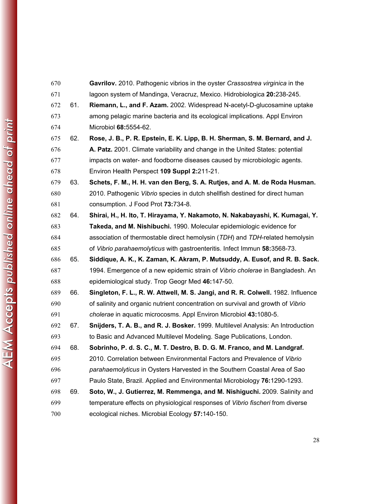| 670 |     | Gavrilov. 2010. Pathogenic vibrios in the oyster Crassostrea virginica in the    |
|-----|-----|----------------------------------------------------------------------------------|
| 671 |     | lagoon system of Mandinga, Veracruz, Mexico. Hidrobiologica 20:238-245.          |
| 672 | 61. | Riemann, L., and F. Azam. 2002. Widespread N-acetyl-D-glucosamine uptake         |
| 673 |     | among pelagic marine bacteria and its ecological implications. Appl Environ      |
| 674 |     | Microbiol 68:5554-62.                                                            |
| 675 | 62. | Rose, J. B., P. R. Epstein, E. K. Lipp, B. H. Sherman, S. M. Bernard, and J.     |
| 676 |     | A. Patz. 2001. Climate variability and change in the United States: potential    |
| 677 |     | impacts on water- and foodborne diseases caused by microbiologic agents.         |
| 678 |     | Environ Health Perspect 109 Suppl 2:211-21.                                      |
| 679 | 63. | Schets, F. M., H. H. van den Berg, S. A. Rutjes, and A. M. de Roda Husman.       |
| 680 |     | 2010. Pathogenic Vibrio species in dutch shellfish destined for direct human     |
| 681 |     | consumption. J Food Prot 73:734-8.                                               |
| 682 | 64. | Shirai, H., H. Ito, T. Hirayama, Y. Nakamoto, N. Nakabayashi, K. Kumagai, Y.     |
| 683 |     | Takeda, and M. Nishibuchi. 1990. Molecular epidemiologic evidence for            |
| 684 |     | association of thermostable direct hemolysin (TDH) and TDH-related hemolysin     |
| 685 |     | of Vibrio parahaemolyticus with gastroenteritis. Infect Immun 58:3568-73.        |
| 686 | 65. | Siddique, A. K., K. Zaman, K. Akram, P. Mutsuddy, A. Eusof, and R. B. Sack.      |
| 687 |     | 1994. Emergence of a new epidemic strain of Vibrio cholerae in Bangladesh. An    |
| 688 |     | epidemiological study. Trop Geogr Med 46:147-50.                                 |
| 689 | 66. | Singleton, F. L., R. W. Attwell, M. S. Jangi, and R. R. Colwell. 1982. Influence |
| 690 |     | of salinity and organic nutrient concentration on survival and growth of Vibrio  |
| 691 |     | cholerae in aquatic microcosms. Appl Environ Microbiol 43:1080-5.                |
| 692 | 67. | Snijders, T. A. B., and R. J. Bosker. 1999. Multilevel Analysis: An Introduction |
| 693 |     | to Basic and Advanced Multilevel Modeling. Sage Publications, London.            |
| 694 | 68. | Sobrinho, P. d. S. C., M. T. Destro, B. D. G. M. Franco, and M. Landgraf.        |
| 695 |     | 2010. Correlation between Environmental Factors and Prevalence of Vibrio         |
| 696 |     | parahaemolyticus in Oysters Harvested in the Southern Coastal Area of Sao        |
| 697 |     | Paulo State, Brazil. Applied and Environmental Microbiology 76:1290-1293.        |
| 698 | 69. | Soto, W., J. Gutierrez, M. Remmenga, and M. Nishiguchi. 2009. Salinity and       |
| 699 |     | temperature effects on physiological responses of Vibrio fischeri from diverse   |
| 700 |     | ecological niches. Microbial Ecology 57:140-150.                                 |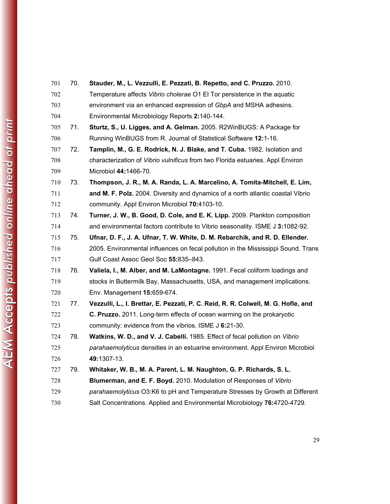| 701 | 70. | Stauder, M., L. Vezzulli, E. Pezzati, B. Repetto, and C. Pruzzo. 2010.            |
|-----|-----|-----------------------------------------------------------------------------------|
| 702 |     | Temperature affects Vibrio cholerae O1 EI Tor persistence in the aquatic          |
| 703 |     | environment via an enhanced expression of GbpA and MSHA adhesins.                 |
| 704 |     | Environmental Microbiology Reports 2:140-144.                                     |
| 705 | 71. | Sturtz, S., U. Ligges, and A. Gelman. 2005. R2WinBUGS: A Package for              |
| 706 |     | Running WinBUGS from R. Journal of Statistical Software 12:1-16.                  |
| 707 | 72. | Tamplin, M., G. E. Rodrick, N. J. Blake, and T. Cuba. 1982. Isolation and         |
| 708 |     | characterization of Vibrio vulnificus from two Florida estuaries. Appl Environ    |
| 709 |     | Microbiol 44:1466-70.                                                             |
| 710 | 73. | Thompson, J. R., M. A. Randa, L. A. Marcelino, A. Tomita-Mitchell, E. Lim,        |
| 711 |     | and M. F. Polz. 2004. Diversity and dynamics of a north atlantic coastal Vibrio   |
| 712 |     | community. Appl Environ Microbiol 70:4103-10.                                     |
| 713 | 74. | Turner, J. W., B. Good, D. Cole, and E. K. Lipp. 2009. Plankton composition       |
| 714 |     | and environmental factors contribute to Vibrio seasonality. ISME J 3:1082-92.     |
| 715 | 75. | Ufnar, D. F., J. A. Ufnar, T. W. White, D. M. Rebarchik, and R. D. Ellender.      |
| 716 |     | 2005. Environmental influences on fecal pollution in the Mississippi Sound. Trans |
| 717 |     | Gulf Coast Assoc Geol Soc 55:835-843.                                             |
| 718 | 76. | Valiela, I., M. Alber, and M. LaMontagne. 1991. Fecal coliform loadings and       |
| 719 |     | stocks in Buttermilk Bay, Massachusetts, USA, and management implications.        |
| 720 |     | Env. Management 15:659-674.                                                       |
| 721 | 77. | Vezzulli, L., I. Brettar, E. Pezzati, P. C. Reid, R. R. Colwell, M. G. Hofle, and |
| 722 |     | C. Pruzzo. 2011. Long-term effects of ocean warming on the prokaryotic            |
| 723 |     | community: evidence from the vibrios. ISME J 6:21-30.                             |
| 724 | 78. | Watkins, W. D., and V. J. Cabelli. 1985. Effect of fecal pollution on Vibrio      |
| 725 |     | parahaemolyticus densities in an estuarine environment. Appl Environ Microbiol    |
| 726 |     | 49:1307-13.                                                                       |
| 727 | 79. | Whitaker, W. B., M. A. Parent, L. M. Naughton, G. P. Richards, S. L.              |
| 728 |     | Blumerman, and E. F. Boyd. 2010. Modulation of Responses of Vibrio                |
| 729 |     | parahaemolyticus O3:K6 to pH and Temperature Stresses by Growth at Different      |
| 730 |     | Salt Concentrations. Applied and Environmental Microbiology 76:4720-4729.         |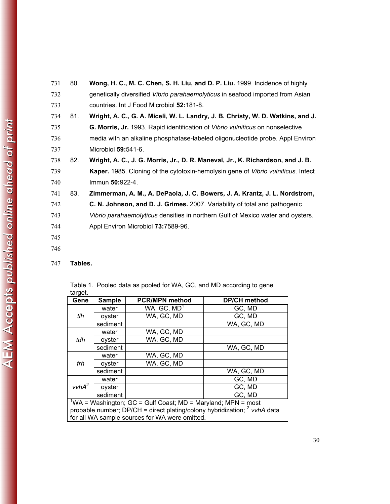| 731 | 80. | Wong, H. C., M. C. Chen, S. H. Liu, and D. P. Liu. 1999. Incidence of highly      |
|-----|-----|-----------------------------------------------------------------------------------|
| 732 |     | genetically diversified Vibrio parahaemolyticus in seafood imported from Asian    |
| 733 |     | countries. Int J Food Microbiol 52:181-8.                                         |
| 734 | 81. | Wright, A. C., G. A. Miceli, W. L. Landry, J. B. Christy, W. D. Watkins, and J.   |
| 735 |     | G. Morris, Jr. 1993. Rapid identification of Vibrio vulnificus on nonselective    |
| 736 |     | media with an alkaline phosphatase-labeled oligonucleotide probe. Appl Environ    |
| 737 |     | Microbiol 59:541-6.                                                               |
| 738 | 82. | Wright, A. C., J. G. Morris, Jr., D. R. Maneval, Jr., K. Richardson, and J. B.    |
| 739 |     | Kaper. 1985. Cloning of the cytotoxin-hemolysin gene of Vibrio vulnificus. Infect |
| 740 |     | Immun 50:922-4.                                                                   |
| 741 | 83. | Zimmerman, A. M., A. DePaola, J. C. Bowers, J. A. Krantz, J. L. Nordstrom,        |
| 742 |     | C. N. Johnson, and D. J. Grimes. 2007. Variability of total and pathogenic        |
| 743 |     | Vibrio parahaemolyticus densities in northern Gulf of Mexico water and oysters.   |
| 744 |     | Appl Environ Microbiol 73:7589-96.                                                |
| 745 |     |                                                                                   |

- 746
- 747 **Tables.**

| target.                                                                              |               |                                                                          |                     |  |  |
|--------------------------------------------------------------------------------------|---------------|--------------------------------------------------------------------------|---------------------|--|--|
| Gene                                                                                 | <b>Sample</b> | <b>PCR/MPN method</b>                                                    | <b>DP/CH method</b> |  |  |
|                                                                                      | water         | WA, $GC$ , $MD1$                                                         | GC, MD              |  |  |
| tlh                                                                                  | oyster        | WA, GC, MD                                                               | GC, MD              |  |  |
|                                                                                      | sediment      |                                                                          | WA, GC, MD          |  |  |
|                                                                                      | water         | WA, GC, MD                                                               |                     |  |  |
| tdh                                                                                  | oyster        | WA, GC, MD                                                               |                     |  |  |
|                                                                                      | sediment      |                                                                          | WA, GC, MD          |  |  |
| trh                                                                                  | water         | WA, GC, MD                                                               |                     |  |  |
|                                                                                      | oyster        | WA, GC, MD                                                               |                     |  |  |
|                                                                                      | sediment      |                                                                          | WA, GC, MD          |  |  |
| vvhA <sup>2</sup>                                                                    | water         |                                                                          | GC, MD              |  |  |
|                                                                                      | oyster        |                                                                          | GC, MD              |  |  |
|                                                                                      | sediment      |                                                                          | GC, MD              |  |  |
|                                                                                      |               | $\frac{1}{2}WA$ = Washington; GC = Gulf Coast; MD = Maryland; MPN = most |                     |  |  |
| probable number; $DP/CH =$ direct plating/colony hybridization; $2$ <i>vvhA</i> data |               |                                                                          |                     |  |  |
|                                                                                      |               | for all WA sample sources for WA were omitted.                           |                     |  |  |

Table 1. Pooled data as pooled for WA, GC, and MD according to gene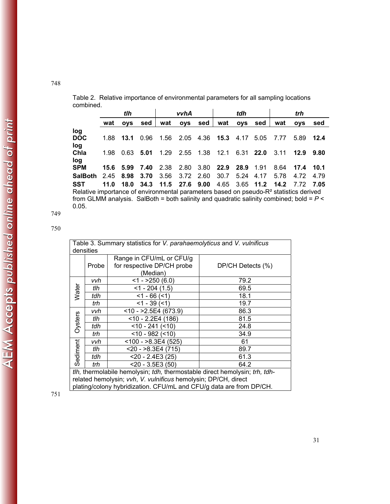|                                                                                                   |      | tlh        |      |           | vvhA       |           |                                      | tdh                   |      |                          | trh        |      |
|---------------------------------------------------------------------------------------------------|------|------------|------|-----------|------------|-----------|--------------------------------------|-----------------------|------|--------------------------|------------|------|
|                                                                                                   | wat  | <b>OVS</b> | sed  | wat       | <b>OVS</b> | sed       | wat                                  | ovs                   | sed  | wat                      | <b>OVS</b> | sed  |
| log                                                                                               |      |            |      |           |            |           |                                      |                       |      |                          |            |      |
| <b>DOC</b>                                                                                        |      | 1.88 13.1  | 0.96 | 1.56      |            |           | 2.05 4.36 <b>15.3</b> 4.17 5.05 7.77 |                       |      |                          | 5.89 12.4  |      |
| log                                                                                               |      |            |      |           |            |           |                                      |                       |      |                          |            |      |
| Chla                                                                                              | 1.98 | 0.63       | 5.01 | 1.29      |            | 2.55 1.38 | 12.1 6.31 <b>22.0</b>                |                       |      | 3.11                     | 12.9       | 9.80 |
| log                                                                                               |      |            |      |           |            |           |                                      |                       |      |                          |            |      |
| <b>SPM</b>                                                                                        |      | 15.6 5.99  | 7.40 | 2.38      |            | 2.80 3.80 |                                      | <b>22.9 28.9 1.91</b> |      | 8.64                     | 17.4 10.1  |      |
| <b>SalBoth</b>                                                                                    |      | 2.45 8.98  | 3.70 | 3.56      | 3.72 2.60  |           | 30.7                                 | 5.24                  | 4.17 | 5.78                     | 4.72       | 4.79 |
| SST                                                                                               | 11.0 | 18.0       |      | 34.3 11.5 |            | 27.6 9.00 | 4.65                                 |                       |      | 3.65 11.2 14.2 7.72 7.05 |            |      |
| Relative importance of environmental parameters based on pseudo-R <sup>2</sup> statistics derived |      |            |      |           |            |           |                                      |                       |      |                          |            |      |
|                                                                                                   |      |            |      |           |            |           |                                      |                       |      |                          |            |      |

Table 2. Relative importance of environmental parameters for all sampling locations combined.

from GLMM analysis. SalBoth = both salinity and quadratic salinity combined; bold = *P* < 0.05.

749 750

| Table 3. Summary statistics for V. parahaemolyticus and V. vulnificus                                                                        |                                                                      |                             |      |  |  |  |  |  |
|----------------------------------------------------------------------------------------------------------------------------------------------|----------------------------------------------------------------------|-----------------------------|------|--|--|--|--|--|
|                                                                                                                                              | densities<br>Range in CFU/mL or CFU/g                                |                             |      |  |  |  |  |  |
|                                                                                                                                              | for respective DP/CH probe<br>Probe<br>DP/CH Detects (%)<br>(Median) |                             |      |  |  |  |  |  |
|                                                                                                                                              | vvh                                                                  | $<1 - 250(6.0)$             | 79.2 |  |  |  |  |  |
| Water                                                                                                                                        | tlh                                                                  | $<$ 1 - 204 (1.5)           | 69.5 |  |  |  |  |  |
|                                                                                                                                              | tdh                                                                  | $<$ 1 - 66 ( $<$ 1)         | 18.1 |  |  |  |  |  |
|                                                                                                                                              | trh                                                                  | $<$ 1 - 39 ( $<$ 1)<br>19.7 |      |  |  |  |  |  |
|                                                                                                                                              | vvh                                                                  | $<$ 10 - >2.5E4 (673.9)     | 86.3 |  |  |  |  |  |
| Oysters                                                                                                                                      | tlh                                                                  | $<$ 10 - 2.2E4 (186)        | 81.5 |  |  |  |  |  |
|                                                                                                                                              | tdh                                                                  | $<$ 10 - 241 ( $<$ 10)      | 24.8 |  |  |  |  |  |
|                                                                                                                                              | trh                                                                  | $<$ 10 - 982 ( $<$ 10)      | 34.9 |  |  |  |  |  |
|                                                                                                                                              | vvh                                                                  | $~100 - 8.3E4(525)$         | 61   |  |  |  |  |  |
| Sediment                                                                                                                                     | tlh                                                                  | $<$ 20 - $>$ 8.3E4 (715)    | 89.7 |  |  |  |  |  |
|                                                                                                                                              | tdh                                                                  | $<$ 20 - 2.4E3 (25)         | 61.3 |  |  |  |  |  |
|                                                                                                                                              | trh                                                                  | $<$ 20 - 3.5E3 (50)         | 64.2 |  |  |  |  |  |
| tlh, thermolabile hemolysin; tdh, thermostable direct hemolysin; trh, tdh-<br>related hemolysin; vvh, V. vulnificus hemolysin; DP/CH, direct |                                                                      |                             |      |  |  |  |  |  |
| plating/colony hybridization. CFU/mL and CFU/g data are from DP/CH.                                                                          |                                                                      |                             |      |  |  |  |  |  |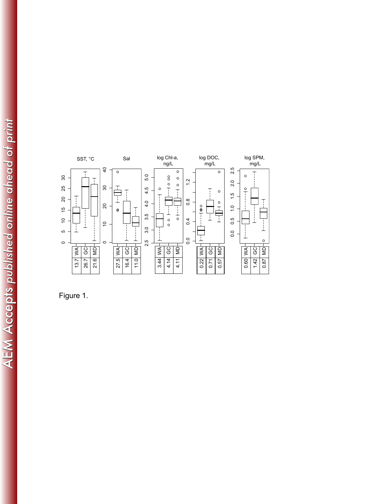

Fi gure 1.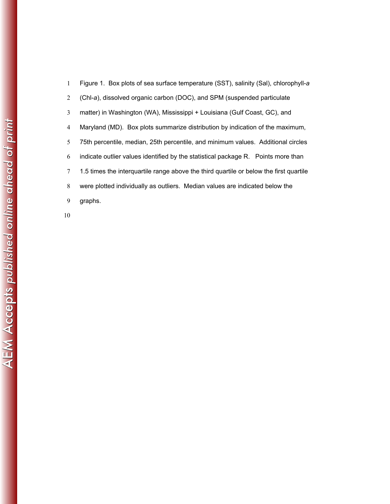| 1 | Figure 1. Box plots of sea surface temperature (SST), salinity (Sal), chlorophyll-a    |
|---|----------------------------------------------------------------------------------------|
| 2 | (Chl-a), dissolved organic carbon (DOC), and SPM (suspended particulate                |
| 3 | matter) in Washington (WA), Mississippi + Louisiana (Gulf Coast, GC), and              |
| 4 | Maryland (MD). Box plots summarize distribution by indication of the maximum,          |
| 5 | 75th percentile, median, 25th percentile, and minimum values. Additional circles       |
| 6 | indicate outlier values identified by the statistical package R. Points more than      |
| 7 | 1.5 times the interquartile range above the third quartile or below the first quartile |
| 8 | were plotted individually as outliers. Median values are indicated below the           |
| 9 | graphs.                                                                                |
|   |                                                                                        |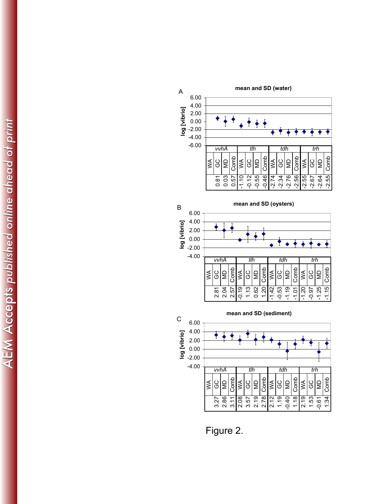

Figure 2.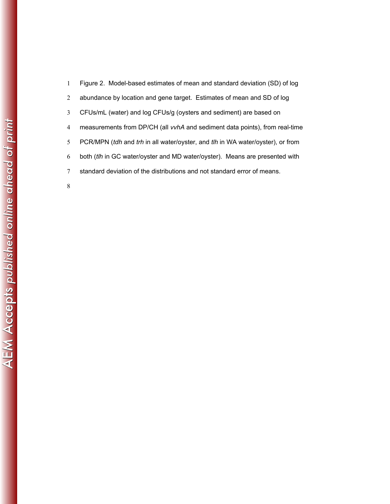| $\mathbf{1}$   | Figure 2. Model-based estimates of mean and standard deviation (SD) of log         |
|----------------|------------------------------------------------------------------------------------|
| 2              | abundance by location and gene target. Estimates of mean and SD of log             |
| 3              | CFUs/mL (water) and log CFUs/g (oysters and sediment) are based on                 |
| $\overline{4}$ | measurements from DP/CH (all <i>vvhA</i> and sediment data points), from real-time |
| 5              | PCR/MPN (tdh and trh in all water/oyster, and tlh in WA water/oyster), or from     |
| 6              | both (tlh in GC water/oyster and MD water/oyster). Means are presented with        |
| 7              | standard deviation of the distributions and not standard error of means.           |
| 8              |                                                                                    |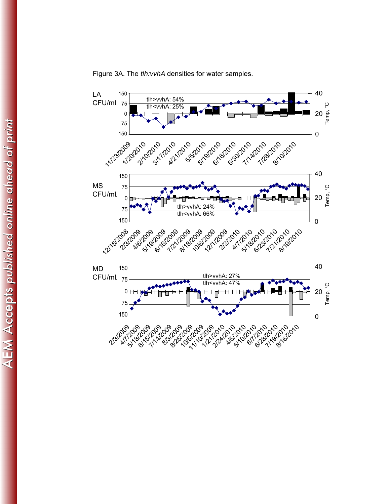

Figure 3A. The *tlh:vvhA* densities for water samples.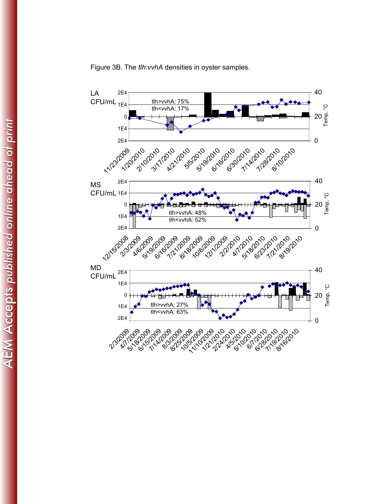

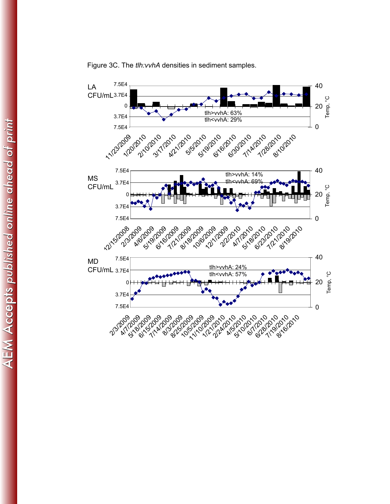